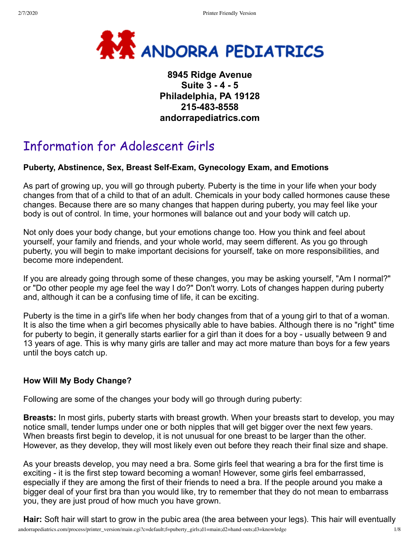

### **8945 Ridge Avenue Suite 3 - 4 - 5 Philadelphia, PA 19128 215-483-8558 andorrapediatrics.com**

# Information for Adolescent Girls

### **Puberty, Abstinence, Sex, Breast Self-Exam, Gynecology Exam, and Emotions**

As part of growing up, you will go through puberty. Puberty is the time in your life when your body changes from that of a child to that of an adult. Chemicals in your body called hormones cause these changes. Because there are so many changes that happen during puberty, you may feel like your body is out of control. In time, your hormones will balance out and your body will catch up.

Not only does your body change, but your emotions change too. How you think and feel about yourself, your family and friends, and your whole world, may seem different. As you go through puberty, you will begin to make important decisions for yourself, take on more responsibilities, and become more independent.

If you are already going through some of these changes, you may be asking yourself, "Am I normal?" or "Do other people my age feel the way I do?" Don't worry. Lots of changes happen during puberty and, although it can be a confusing time of life, it can be exciting.

Puberty is the time in a girl's life when her body changes from that of a young girl to that of a woman. It is also the time when a girl becomes physically able to have babies. Although there is no "right" time for puberty to begin, it generally starts earlier for a girl than it does for a boy - usually between 9 and 13 years of age. This is why many girls are taller and may act more mature than boys for a few years until the boys catch up.

### **How Will My Body Change?**

Following are some of the changes your body will go through during puberty:

**Breasts:** In most girls, puberty starts with breast growth. When your breasts start to develop, you may notice small, tender lumps under one or both nipples that will get bigger over the next few years. When breasts first begin to develop, it is not unusual for one breast to be larger than the other. However, as they develop, they will most likely even out before they reach their final size and shape.

As your breasts develop, you may need a bra. Some girls feel that wearing a bra for the first time is exciting - it is the first step toward becoming a woman! However, some girls feel embarrassed, especially if they are among the first of their friends to need a bra. If the people around you make a bigger deal of your first bra than you would like, try to remember that they do not mean to embarrass you, they are just proud of how much you have grown.

andorrapediatrics.com/process/printer\_version/main.cgi?c=default;f=puberty\_girls;d1=main;d2=hand-outs;d3=knowledge 1/8 **Hair:** Soft hair will start to grow in the pubic area (the area between your legs). This hair will eventually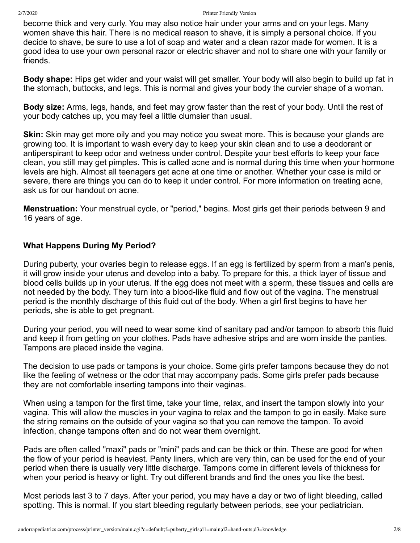become thick and very curly. You may also notice hair under your arms and on your legs. Many women shave this hair. There is no medical reason to shave, it is simply a personal choice. If you decide to shave, be sure to use a lot of soap and water and a clean razor made for women. It is a good idea to use your own personal razor or electric shaver and not to share one with your family or friends.

**Body shape:** Hips get wider and your waist will get smaller. Your body will also begin to build up fat in the stomach, buttocks, and legs. This is normal and gives your body the curvier shape of a woman.

**Body size:** Arms, legs, hands, and feet may grow faster than the rest of your body. Until the rest of your body catches up, you may feel a little clumsier than usual.

**Skin:** Skin may get more oily and you may notice you sweat more. This is because your glands are growing too. It is important to wash every day to keep your skin clean and to use a deodorant or antiperspirant to keep odor and wetness under control. Despite your best efforts to keep your face clean, you still may get pimples. This is called acne and is normal during this time when your hormone levels are high. Almost all teenagers get acne at one time or another. Whether your case is mild or severe, there are things you can do to keep it under control. For more information on treating acne, ask us for our handout on acne.

**Menstruation:** Your menstrual cycle, or "period," begins. Most girls get their periods between 9 and 16 years of age.

### **What Happens During My Period?**

During puberty, your ovaries begin to release eggs. If an egg is fertilized by sperm from a man's penis, it will grow inside your uterus and develop into a baby. To prepare for this, a thick layer of tissue and blood cells builds up in your uterus. If the egg does not meet with a sperm, these tissues and cells are not needed by the body. They turn into a blood-like fluid and flow out of the vagina. The menstrual period is the monthly discharge of this fluid out of the body. When a girl first begins to have her periods, she is able to get pregnant.

During your period, you will need to wear some kind of sanitary pad and/or tampon to absorb this fluid and keep it from getting on your clothes. Pads have adhesive strips and are worn inside the panties. Tampons are placed inside the vagina.

The decision to use pads or tampons is your choice. Some girls prefer tampons because they do not like the feeling of wetness or the odor that may accompany pads. Some girls prefer pads because they are not comfortable inserting tampons into their vaginas.

When using a tampon for the first time, take your time, relax, and insert the tampon slowly into your vagina. This will allow the muscles in your vagina to relax and the tampon to go in easily. Make sure the string remains on the outside of your vagina so that you can remove the tampon. To avoid infection, change tampons often and do not wear them overnight.

Pads are often called "maxi" pads or "mini" pads and can be thick or thin. These are good for when the flow of your period is heaviest. Panty liners, which are very thin, can be used for the end of your period when there is usually very little discharge. Tampons come in different levels of thickness for when your period is heavy or light. Try out different brands and find the ones you like the best.

Most periods last 3 to 7 days. After your period, you may have a day or two of light bleeding, called spotting. This is normal. If you start bleeding regularly between periods, see your pediatrician.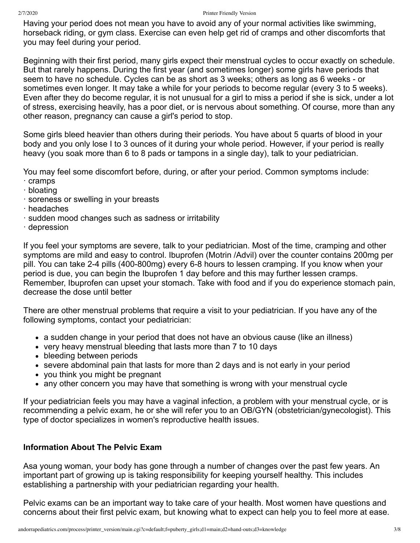Having your period does not mean you have to avoid any of your normal activities like swimming, horseback riding, or gym class. Exercise can even help get rid of cramps and other discomforts that you may feel during your period.

Beginning with their first period, many girls expect their menstrual cycles to occur exactly on schedule. But that rarely happens. During the first year (and sometimes longer) some girls have periods that seem to have no schedule. Cycles can be as short as 3 weeks; others as long as 6 weeks - or sometimes even longer. It may take a while for your periods to become regular (every 3 to 5 weeks). Even after they do become regular, it is not unusual for a girl to miss a period if she is sick, under a lot of stress, exercising heavily, has a poor diet, or is nervous about something. Of course, more than any other reason, pregnancy can cause a girl's period to stop.

Some girls bleed heavier than others during their periods. You have about 5 quarts of blood in your body and you only lose I to 3 ounces of it during your whole period. However, if your period is really heavy (you soak more than 6 to 8 pads or tampons in a single day), talk to your pediatrician.

You may feel some discomfort before, during, or after your period. Common symptoms include:

- · cramps
- · bloating
- · soreness or swelling in your breasts
- · headaches
- · sudden mood changes such as sadness or irritability
- · depression

If you feel your symptoms are severe, talk to your pediatrician. Most of the time, cramping and other symptoms are mild and easy to control. Ibuprofen (Motrin /Advil) over the counter contains 200mg per pill. You can take 2-4 pills (400-800mg) every 6-8 hours to lessen cramping. If you know when your period is due, you can begin the Ibuprofen 1 day before and this may further lessen cramps. Remember, Ibuprofen can upset your stomach. Take with food and if you do experience stomach pain, decrease the dose until better

There are other menstrual problems that require a visit to your pediatrician. If you have any of the following symptoms, contact your pediatrician:

- a sudden change in your period that does not have an obvious cause (like an illness)
- very heavy menstrual bleeding that lasts more than 7 to 10 days
- bleeding between periods
- severe abdominal pain that lasts for more than 2 days and is not early in your period
- you think you might be pregnant
- any other concern you may have that something is wrong with your menstrual cycle

If your pediatrician feels you may have a vaginal infection, a problem with your menstrual cycle, or is recommending a pelvic exam, he or she will refer you to an OB/GYN (obstetrician/gynecologist). This type of doctor specializes in women's reproductive health issues.

### **Information About The Pelvic Exam**

Asa young woman, your body has gone through a number of changes over the past few years. An important part of growing up is taking responsibility for keeping yourself healthy. This includes establishing a partnership with your pediatrician regarding your health.

Pelvic exams can be an important way to take care of your health. Most women have questions and concerns about their first pelvic exam, but knowing what to expect can help you to feel more at ease.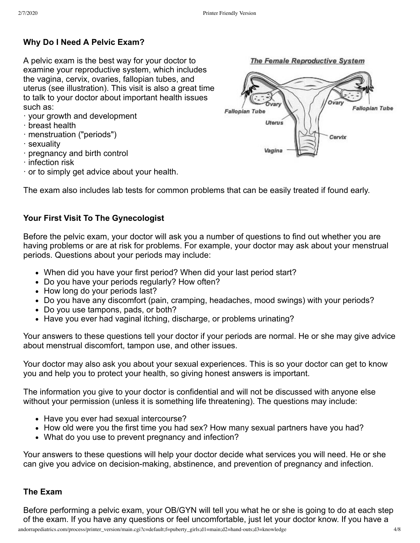## **Why Do I Need A Pelvic Exam?**

A pelvic exam is the best way for your doctor to examine your reproductive system, which includes the vagina, cervix, ovaries, fallopian tubes, and uterus (see illustration). This visit is also a great time to talk to your doctor about important health issues such as:

- · your growth and development
- · breast health
- · menstruation ("periods")
- · sexuality
- · pregnancy and birth control
- · infection risk
- · or to simply get advice about your health.



# **Your First Visit To The Gynecologist**

Before the pelvic exam, your doctor will ask you a number of questions to find out whether you are having problems or are at risk for problems. For example, your doctor may ask about your menstrual periods. Questions about your periods may include:

- When did you have your first period? When did your last period start?
- Do you have your periods regularly? How often?
- How long do your periods last?
- Do you have any discomfort (pain, cramping, headaches, mood swings) with your periods?
- Do you use tampons, pads, or both?
- Have you ever had vaginal itching, discharge, or problems urinating?

Your answers to these questions tell your doctor if your periods are normal. He or she may give advice about menstrual discomfort, tampon use, and other issues.

Your doctor may also ask you about your sexual experiences. This is so your doctor can get to know you and help you to protect your health, so giving honest answers is important.

The information you give to your doctor is confidential and will not be discussed with anyone else without your permission (unless it is something life threatening). The questions may include:

- Have you ever had sexual intercourse?
- How old were you the first time you had sex? How many sexual partners have you had?
- What do you use to prevent pregnancy and infection?

Your answers to these questions will help your doctor decide what services you will need. He or she can give you advice on decision-making, abstinence, and prevention of pregnancy and infection.

### **The Exam**

Before performing a pelvic exam, your OB/GYN will tell you what he or she is going to do at each step of the exam. If you have any questions or feel uncomfortable, just let your doctor know. If you have a





The Female Reproductive System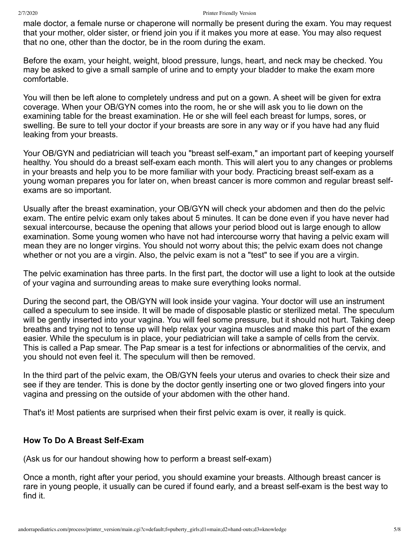male doctor, a female nurse or chaperone will normally be present during the exam. You may request that your mother, older sister, or friend join you if it makes you more at ease. You may also request that no one, other than the doctor, be in the room during the exam.

Before the exam, your height, weight, blood pressure, lungs, heart, and neck may be checked. You may be asked to give a small sample of urine and to empty your bladder to make the exam more comfortable.

You will then be left alone to completely undress and put on a gown. A sheet will be given for extra coverage. When your OB/GYN comes into the room, he or she will ask you to lie down on the examining table for the breast examination. He or she will feel each breast for lumps, sores, or swelling. Be sure to tell your doctor if your breasts are sore in any way or if you have had any fluid leaking from your breasts.

Your OB/GYN and pediatrician will teach you "breast self-exam," an important part of keeping yourself healthy. You should do a breast self-exam each month. This will alert you to any changes or problems in your breasts and help you to be more familiar with your body. Practicing breast self-exam as a young woman prepares you for later on, when breast cancer is more common and regular breast selfexams are so important.

Usually after the breast examination, your OB/GYN will check your abdomen and then do the pelvic exam. The entire pelvic exam only takes about 5 minutes. It can be done even if you have never had sexual intercourse, because the opening that allows your period blood out is large enough to allow examination. Some young women who have not had intercourse worry that having a pelvic exam will mean they are no longer virgins. You should not worry about this; the pelvic exam does not change whether or not you are a virgin. Also, the pelvic exam is not a "test" to see if you are a virgin.

The pelvic examination has three parts. In the first part, the doctor will use a light to look at the outside of your vagina and surrounding areas to make sure everything looks normal.

During the second part, the OB/GYN will look inside your vagina. Your doctor will use an instrument called a speculum to see inside. It will be made of disposable plastic or sterilized metal. The speculum will be gently inserted into your vagina. You will feel some pressure, but it should not hurt. Taking deep breaths and trying not to tense up will help relax your vagina muscles and make this part of the exam easier. While the speculum is in place, your pediatrician will take a sample of cells from the cervix. This is called a Pap smear. The Pap smear is a test for infections or abnormalities of the cervix, and you should not even feel it. The speculum will then be removed.

In the third part of the pelvic exam, the OB/GYN feels your uterus and ovaries to check their size and see if they are tender. This is done by the doctor gently inserting one or two gloved fingers into your vagina and pressing on the outside of your abdomen with the other hand.

That's it! Most patients are surprised when their first pelvic exam is over, it really is quick.

### **How To Do A Breast Self-Exam**

(Ask us for our handout showing how to perform a breast self-exam)

Once a month, right after your period, you should examine your breasts. Although breast cancer is rare in young people, it usually can be cured if found early, and a breast self-exam is the best way to find it.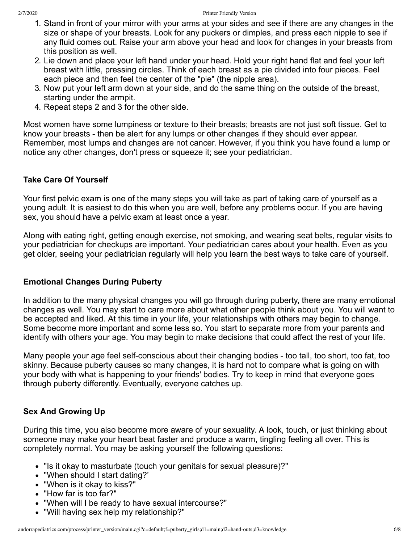- 1. Stand in front of your mirror with your arms at your sides and see if there are any changes in the size or shape of your breasts. Look for any puckers or dimples, and press each nipple to see if any fluid comes out. Raise your arm above your head and look for changes in your breasts from this position as well.
- 2. Lie down and place your left hand under your head. Hold your right hand flat and feel your left breast with little, pressing circles. Think of each breast as a pie divided into four pieces. Feel each piece and then feel the center of the "pie" (the nipple area).
- 3. Now put your left arm down at your side, and do the same thing on the outside of the breast, starting under the armpit.
- 4. Repeat steps 2 and 3 for the other side.

Most women have some lumpiness or texture to their breasts; breasts are not just soft tissue. Get to know your breasts - then be alert for any lumps or other changes if they should ever appear. Remember, most lumps and changes are not cancer. However, if you think you have found a lump or notice any other changes, don't press or squeeze it; see your pediatrician.

### **Take Care Of Yourself**

Your first pelvic exam is one of the many steps you will take as part of taking care of yourself as a young adult. It is easiest to do this when you are well, before any problems occur. If you are having sex, you should have a pelvic exam at least once a year.

Along with eating right, getting enough exercise, not smoking, and wearing seat belts, regular visits to your pediatrician for checkups are important. Your pediatrician cares about your health. Even as you get older, seeing your pediatrician regularly will help you learn the best ways to take care of yourself.

### **Emotional Changes During Puberty**

In addition to the many physical changes you will go through during puberty, there are many emotional changes as well. You may start to care more about what other people think about you. You will want to be accepted and liked. At this time in your life, your relationships with others may begin to change. Some become more important and some less so. You start to separate more from your parents and identify with others your age. You may begin to make decisions that could affect the rest of your life.

Many people your age feel self-conscious about their changing bodies - too tall, too short, too fat, too skinny. Because puberty causes so many changes, it is hard not to compare what is going on with your body with what is happening to your friends' bodies. Try to keep in mind that everyone goes through puberty differently. Eventually, everyone catches up.

### **Sex And Growing Up**

During this time, you also become more aware of your sexuality. A look, touch, or just thinking about someone may make your heart beat faster and produce a warm, tingling feeling all over. This is completely normal. You may be asking yourself the following questions:

- "Is it okay to masturbate (touch your genitals for sexual pleasure)?"
- "When should I start dating?'
- "When is it okay to kiss?"
- "How far is too far?"
- "When will I be ready to have sexual intercourse?"
- "Will having sex help my relationship?"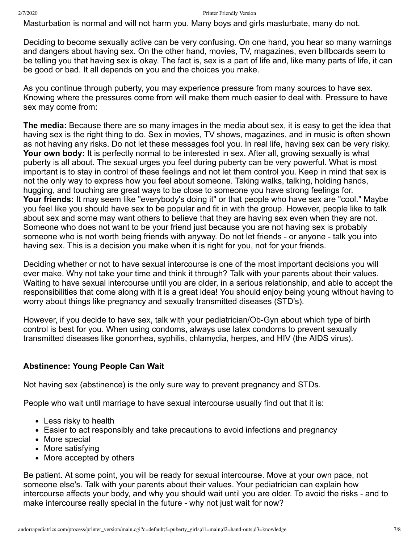Masturbation is normal and will not harm you. Many boys and girls masturbate, many do not.

Deciding to become sexually active can be very confusing. On one hand, you hear so many warnings and dangers about having sex. On the other hand, movies, TV, magazines, even billboards seem to be telling you that having sex is okay. The fact is, sex is a part of life and, like many parts of life, it can be good or bad. It all depends on you and the choices you make.

As you continue through puberty, you may experience pressure from many sources to have sex. Knowing where the pressures come from will make them much easier to deal with. Pressure to have sex may come from:

**The media:** Because there are so many images in the media about sex, it is easy to get the idea that having sex is the right thing to do. Sex in movies, TV shows, magazines, and in music is often shown as not having any risks. Do not let these messages fool you. In real life, having sex can be very risky. **Your own body:** It is perfectly normal to be interested in sex. After all, growing sexually is what puberty is all about. The sexual urges you feel during puberty can be very powerful. What is most important is to stay in control of these feelings and not let them control you. Keep in mind that sex is not the only way to express how you feel about someone. Taking walks, talking, holding hands, hugging, and touching are great ways to be close to someone you have strong feelings for. **Your friends:** It may seem like "everybody's doing it" or that people who have sex are "cool." Maybe you feel like you should have sex to be popular and fit in with the group. However, people like to talk about sex and some may want others to believe that they are having sex even when they are not. Someone who does not want to be your friend just because you are not having sex is probably someone who is not worth being friends with anyway. Do not let friends - or anyone - talk you into having sex. This is a decision you make when it is right for you, not for your friends.

Deciding whether or not to have sexual intercourse is one of the most important decisions you will ever make. Why not take your time and think it through? Talk with your parents about their values. Waiting to have sexual intercourse until you are older, in a serious relationship, and able to accept the responsibilities that come along with it is a great idea! You should enjoy being young without having to worry about things like pregnancy and sexually transmitted diseases (STD's).

However, if you decide to have sex, talk with your pediatrician/Ob-Gyn about which type of birth control is best for you. When using condoms, always use latex condoms to prevent sexually transmitted diseases like gonorrhea, syphilis, chlamydia, herpes, and HIV (the AIDS virus).

### **Abstinence: Young People Can Wait**

Not having sex (abstinence) is the only sure way to prevent pregnancy and STDs.

People who wait until marriage to have sexual intercourse usually find out that it is:

- Less risky to health
- Easier to act responsibly and take precautions to avoid infections and pregnancy
- More special
- More satisfying
- More accepted by others

Be patient. At some point, you will be ready for sexual intercourse. Move at your own pace, not someone else's. Talk with your parents about their values. Your pediatrician can explain how intercourse affects your body, and why you should wait until you are older. To avoid the risks - and to make intercourse really special in the future - why not just wait for now?